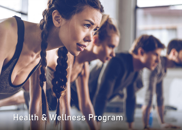## Health & Wellness Program

AURA 2022 BENEFITS OPEN ENROLLE EN DE STANDARD DE STANDARD EN DE STANDARD DE STANDARD DE STANDARD EN DE STANDA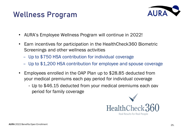## Wellness Program



- AURA's Employee Wellness Program will continue in 2022!
- Earn incentives for participation in the HealthCheck360 Biometric Screenings and other wellness activities
	- Up to \$750 HSA contribution for individual coverage
	- Up to \$1,200 HSA contribution for employee and spouse coverage
- Employees enrolled in the OAP Plan up to \$28.85 deducted from your medical premiums each pay period for individual coverage
	- Up to \$46.15 deducted from your medical premiums each pay period for family coverage